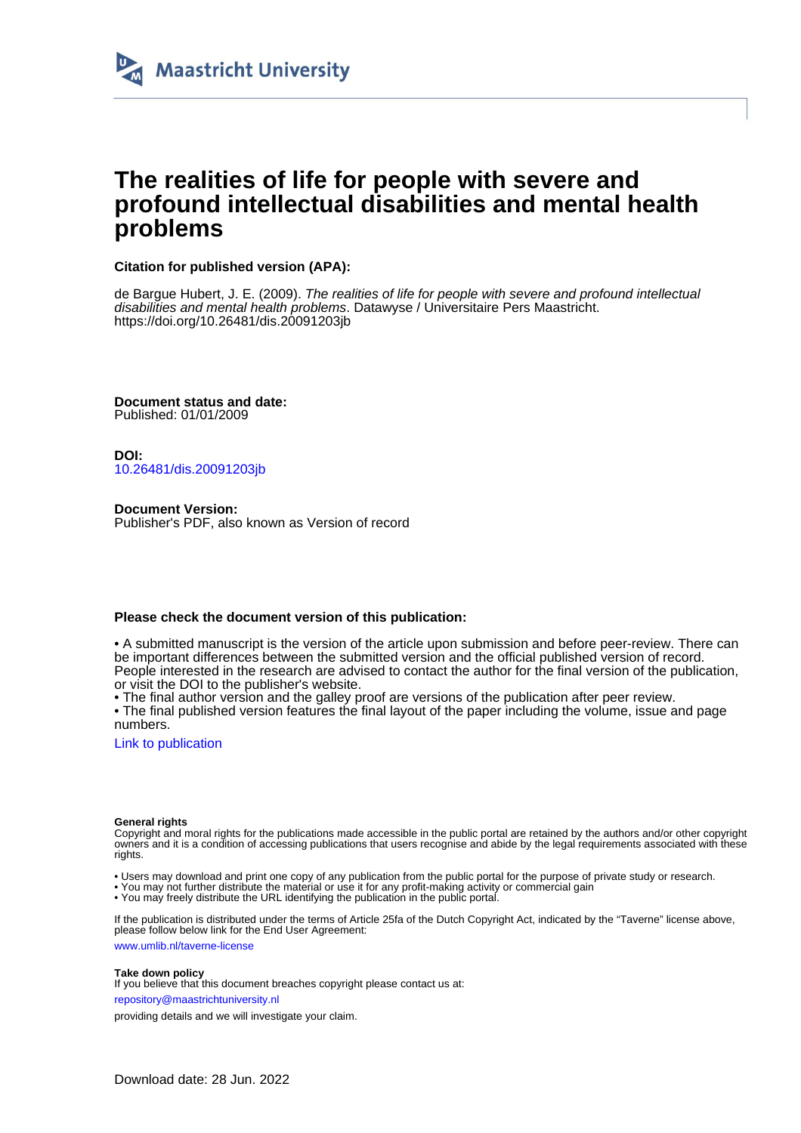

# **The realities of life for people with severe and profound intellectual disabilities and mental health problems**

### **Citation for published version (APA):**

de Bargue Hubert, J. E. (2009). The realities of life for people with severe and profound intellectual disabilities and mental health problems. Datawyse / Universitaire Pers Maastricht. <https://doi.org/10.26481/dis.20091203jb>

**Document status and date:** Published: 01/01/2009

**DOI:** [10.26481/dis.20091203jb](https://doi.org/10.26481/dis.20091203jb)

**Document Version:** Publisher's PDF, also known as Version of record

#### **Please check the document version of this publication:**

• A submitted manuscript is the version of the article upon submission and before peer-review. There can be important differences between the submitted version and the official published version of record. People interested in the research are advised to contact the author for the final version of the publication, or visit the DOI to the publisher's website.

• The final author version and the galley proof are versions of the publication after peer review.

• The final published version features the final layout of the paper including the volume, issue and page numbers.

[Link to publication](https://cris.maastrichtuniversity.nl/en/publications/98e31630-e212-45c8-b266-4babeaf19496)

#### **General rights**

Copyright and moral rights for the publications made accessible in the public portal are retained by the authors and/or other copyright owners and it is a condition of accessing publications that users recognise and abide by the legal requirements associated with these rights.

- Users may download and print one copy of any publication from the public portal for the purpose of private study or research.
- You may not further distribute the material or use it for any profit-making activity or commercial gain
- You may freely distribute the URL identifying the publication in the public portal.

If the publication is distributed under the terms of Article 25fa of the Dutch Copyright Act, indicated by the "Taverne" license above, please follow below link for the End User Agreement:

www.umlib.nl/taverne-license

#### **Take down policy**

If you believe that this document breaches copyright please contact us at:

repository@maastrichtuniversity.nl

providing details and we will investigate your claim.